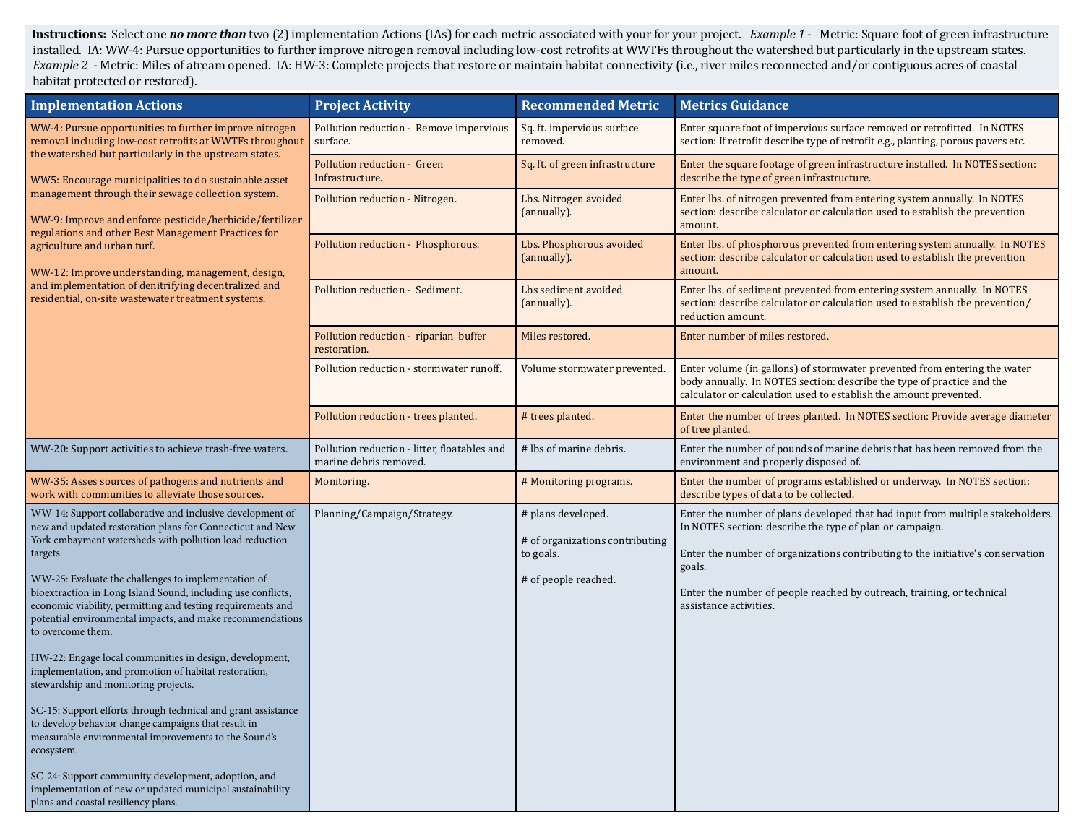**Instructions:** Select one *no more than* two (2) implementation Actions (IAs) for each metric associated with your for your project. *Example 1* - Metric: Square foot of green infrastructure installed. IA: WW-4: Pursue opportunities to further improve nitrogen removal including low-cost retrofits at WWTFs throughout the watershed but particularly in the upstream states. *Example 2* - Metric: Miles of atream opened. IA: HW-3: Complete projects that restore or maintain habitat connectivity (i.e., river miles reconnected and/or contiguous acres of coastal habitat protected or restored).

| <b>Implementation Actions</b>                                                                                                                                                                                                                                                                                                                                                                                                                                                                                                                                                                                                                                                                                                                                                                                                   | <b>Project Activity</b>                                                | <b>Recommended Metric</b>                                                                  | <b>Metrics Guidance</b>                                                                                                                                                                                                                                                                                                                     |
|---------------------------------------------------------------------------------------------------------------------------------------------------------------------------------------------------------------------------------------------------------------------------------------------------------------------------------------------------------------------------------------------------------------------------------------------------------------------------------------------------------------------------------------------------------------------------------------------------------------------------------------------------------------------------------------------------------------------------------------------------------------------------------------------------------------------------------|------------------------------------------------------------------------|--------------------------------------------------------------------------------------------|---------------------------------------------------------------------------------------------------------------------------------------------------------------------------------------------------------------------------------------------------------------------------------------------------------------------------------------------|
| WW-4: Pursue opportunities to further improve nitrogen<br>removal including low-cost retrofits at WWTFs throughout<br>the watershed but particularly in the upstream states.<br>WW5: Encourage municipalities to do sustainable asset<br>management through their sewage collection system.<br>WW-9: Improve and enforce pesticide/herbicide/fertilizer<br>regulations and other Best Management Practices for<br>agriculture and urban turf.<br>WW-12: Improve understanding, management, design,<br>and implementation of denitrifying decentralized and<br>residential, on-site wastewater treatment systems.                                                                                                                                                                                                                | Pollution reduction - Remove impervious<br>surface.                    | Sq. ft. impervious surface<br>removed.                                                     | Enter square foot of impervious surface removed or retrofitted. In NOTES<br>section: If retrofit describe type of retrofit e.g., planting, porous pavers etc.                                                                                                                                                                               |
|                                                                                                                                                                                                                                                                                                                                                                                                                                                                                                                                                                                                                                                                                                                                                                                                                                 | Pollution reduction - Green<br>Infrastructure.                         | Sq. ft. of green infrastructure                                                            | Enter the square footage of green infrastructure installed. In NOTES section:<br>describe the type of green infrastructure.                                                                                                                                                                                                                 |
|                                                                                                                                                                                                                                                                                                                                                                                                                                                                                                                                                                                                                                                                                                                                                                                                                                 | Pollution reduction - Nitrogen.                                        | Lbs. Nitrogen avoided<br>(annually).                                                       | Enter lbs. of nitrogen prevented from entering system annually. In NOTES<br>section: describe calculator or calculation used to establish the prevention<br>amount.                                                                                                                                                                         |
|                                                                                                                                                                                                                                                                                                                                                                                                                                                                                                                                                                                                                                                                                                                                                                                                                                 | Pollution reduction - Phosphorous.                                     | Lbs. Phosphorous avoided<br>(annually).                                                    | Enter lbs. of phosphorous prevented from entering system annually. In NOTES<br>section: describe calculator or calculation used to establish the prevention<br>amount.                                                                                                                                                                      |
|                                                                                                                                                                                                                                                                                                                                                                                                                                                                                                                                                                                                                                                                                                                                                                                                                                 | Pollution reduction - Sediment.                                        | Lbs sediment avoided<br>(annually).                                                        | Enter lbs. of sediment prevented from entering system annually. In NOTES<br>section: describe calculator or calculation used to establish the prevention/<br>reduction amount.                                                                                                                                                              |
|                                                                                                                                                                                                                                                                                                                                                                                                                                                                                                                                                                                                                                                                                                                                                                                                                                 | Pollution reduction - riparian buffer<br>restoration.                  | Miles restored.                                                                            | Enter number of miles restored.                                                                                                                                                                                                                                                                                                             |
|                                                                                                                                                                                                                                                                                                                                                                                                                                                                                                                                                                                                                                                                                                                                                                                                                                 | Pollution reduction - stormwater runoff.                               | Volume stormwater prevented.                                                               | Enter volume (in gallons) of stormwater prevented from entering the water<br>body annually. In NOTES section: describe the type of practice and the<br>calculator or calculation used to establish the amount prevented.                                                                                                                    |
|                                                                                                                                                                                                                                                                                                                                                                                                                                                                                                                                                                                                                                                                                                                                                                                                                                 | Pollution reduction - trees planted.                                   | # trees planted.                                                                           | Enter the number of trees planted. In NOTES section: Provide average diameter<br>of tree planted.                                                                                                                                                                                                                                           |
| WW-20: Support activities to achieve trash-free waters.                                                                                                                                                                                                                                                                                                                                                                                                                                                                                                                                                                                                                                                                                                                                                                         | Pollution reduction - litter, floatables and<br>marine debris removed. | # lbs of marine debris.                                                                    | Enter the number of pounds of marine debris that has been removed from the<br>environment and properly disposed of.                                                                                                                                                                                                                         |
| WW-35: Asses sources of pathogens and nutrients and<br>work with communities to alleviate those sources.                                                                                                                                                                                                                                                                                                                                                                                                                                                                                                                                                                                                                                                                                                                        | Monitoring.                                                            | # Monitoring programs.                                                                     | Enter the number of programs established or underway. In NOTES section:<br>describe types of data to be collected.                                                                                                                                                                                                                          |
| WW-14: Support collaborative and inclusive development of<br>new and updated restoration plans for Connecticut and New<br>York embayment watersheds with pollution load reduction<br>targets.<br>WW-25: Evaluate the challenges to implementation of<br>bioextraction in Long Island Sound, including use conflicts,<br>economic viability, permitting and testing requirements and<br>potential environmental impacts, and make recommendations<br>to overcome them.<br>HW-22: Engage local communities in design, development,<br>implementation, and promotion of habitat restoration,<br>stewardship and monitoring projects.<br>SC-15: Support efforts through technical and grant assistance<br>to develop behavior change campaigns that result in<br>measurable environmental improvements to the Sound's<br>ecosystem. | Planning/Campaign/Strategy.                                            | # plans developed.<br># of organizations contributing<br>to goals.<br># of people reached. | Enter the number of plans developed that had input from multiple stakeholders.<br>In NOTES section: describe the type of plan or campaign.<br>Enter the number of organizations contributing to the initiative's conservation<br>goals.<br>Enter the number of people reached by outreach, training, or technical<br>assistance activities. |
| SC-24: Support community development, adoption, and<br>implementation of new or updated municipal sustainability<br>plans and coastal resiliency plans.                                                                                                                                                                                                                                                                                                                                                                                                                                                                                                                                                                                                                                                                         |                                                                        |                                                                                            |                                                                                                                                                                                                                                                                                                                                             |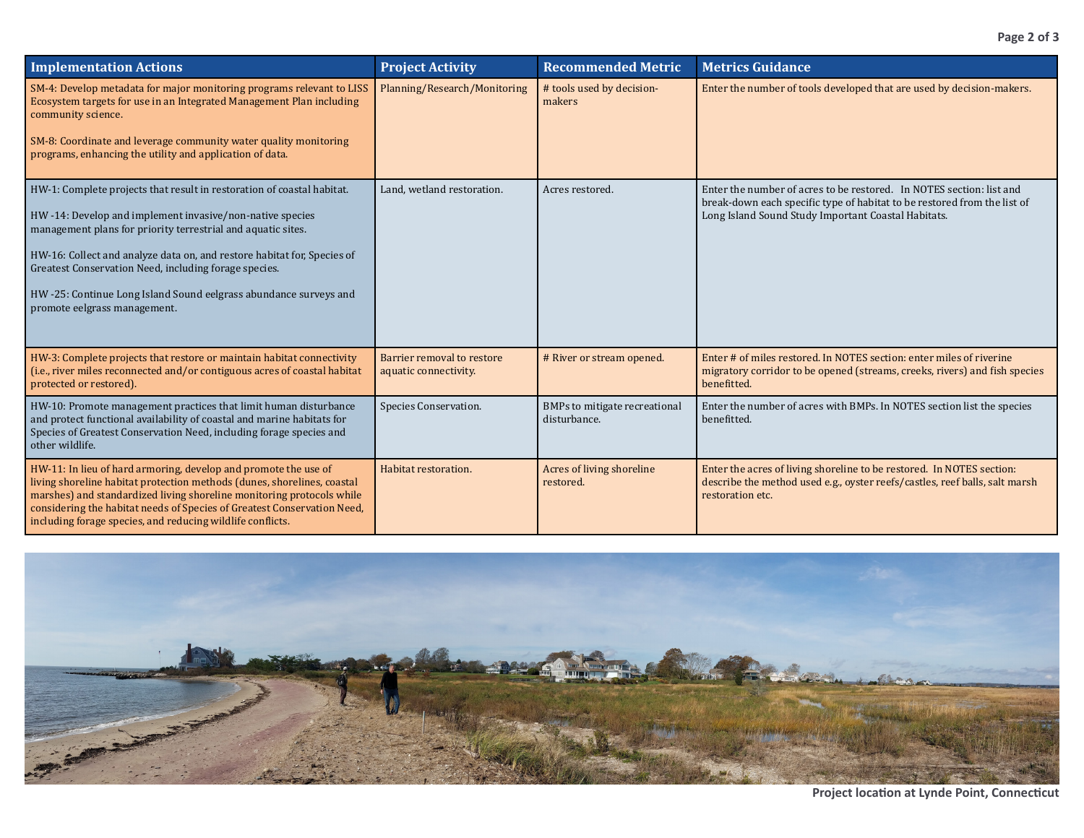| <b>Implementation Actions</b>                                                                                                                                                                                                                                                                                                                                                                                                                | <b>Project Activity</b>                             | <b>Recommended Metric</b>                     | <b>Metrics Guidance</b>                                                                                                                                                                                 |
|----------------------------------------------------------------------------------------------------------------------------------------------------------------------------------------------------------------------------------------------------------------------------------------------------------------------------------------------------------------------------------------------------------------------------------------------|-----------------------------------------------------|-----------------------------------------------|---------------------------------------------------------------------------------------------------------------------------------------------------------------------------------------------------------|
| SM-4: Develop metadata for major monitoring programs relevant to LISS<br>Ecosystem targets for use in an Integrated Management Plan including<br>community science.<br>SM-8: Coordinate and leverage community water quality monitoring<br>programs, enhancing the utility and application of data.                                                                                                                                          | Planning/Research/Monitoring                        | # tools used by decision-<br>makers           | Enter the number of tools developed that are used by decision-makers.                                                                                                                                   |
| HW-1: Complete projects that result in restoration of coastal habitat.<br>HW -14: Develop and implement invasive/non-native species<br>management plans for priority terrestrial and aquatic sites.<br>HW-16: Collect and analyze data on, and restore habitat for, Species of<br>Greatest Conservation Need, including forage species.<br>HW -25: Continue Long Island Sound eelgrass abundance surveys and<br>promote eelgrass management. | Land, wetland restoration.                          | Acres restored.                               | Enter the number of acres to be restored. In NOTES section: list and<br>break-down each specific type of habitat to be restored from the list of<br>Long Island Sound Study Important Coastal Habitats. |
| HW-3: Complete projects that restore or maintain habitat connectivity<br>(i.e., river miles reconnected and/or contiguous acres of coastal habitat<br>protected or restored).                                                                                                                                                                                                                                                                | Barrier removal to restore<br>aquatic connectivity. | # River or stream opened.                     | Enter # of miles restored. In NOTES section: enter miles of riverine<br>migratory corridor to be opened (streams, creeks, rivers) and fish species<br>benefitted.                                       |
| HW-10: Promote management practices that limit human disturbance<br>and protect functional availability of coastal and marine habitats for<br>Species of Greatest Conservation Need, including forage species and<br>other wildlife.                                                                                                                                                                                                         | Species Conservation.                               | BMPs to mitigate recreational<br>disturbance. | Enter the number of acres with BMPs. In NOTES section list the species<br>benefitted.                                                                                                                   |
| HW-11: In lieu of hard armoring, develop and promote the use of<br>living shoreline habitat protection methods (dunes, shorelines, coastal<br>marshes) and standardized living shoreline monitoring protocols while<br>considering the habitat needs of Species of Greatest Conservation Need,<br>including forage species, and reducing wildlife conflicts.                                                                                 | Habitat restoration.                                | Acres of living shoreline<br>restored.        | Enter the acres of living shoreline to be restored. In NOTES section:<br>describe the method used e.g., oyster reefs/castles, reef balls, salt marsh<br>restoration etc.                                |



**Project location at Lynde Point, Connecticut**